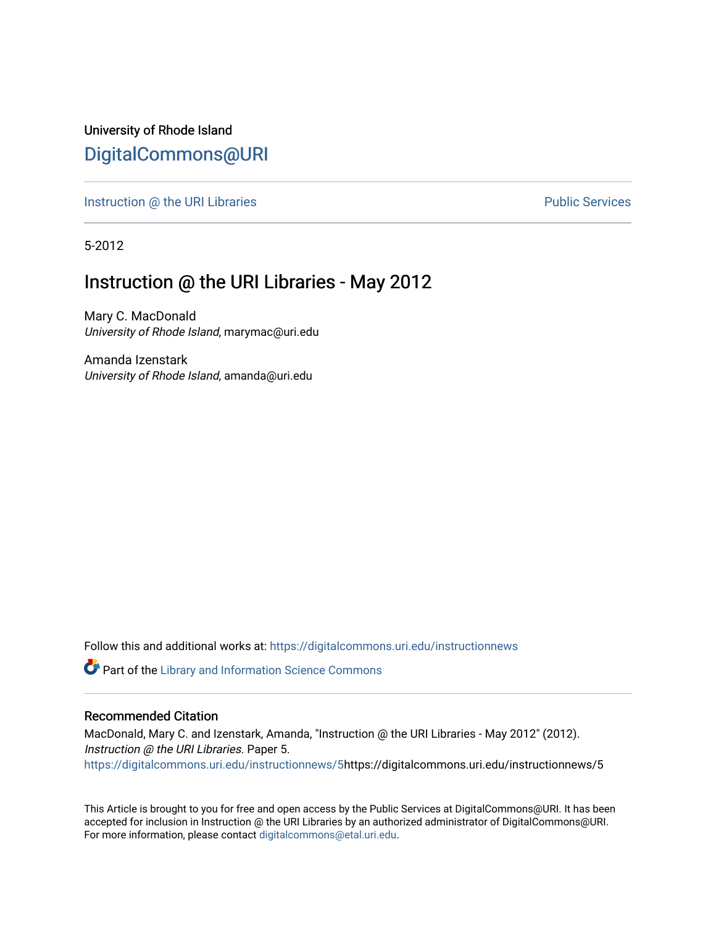University of Rhode Island [DigitalCommons@URI](https://digitalcommons.uri.edu/) 

[Instruction @ the URI Libraries](https://digitalcommons.uri.edu/instructionnews) **Public Services** Public Services

5-2012

## Instruction @ the URI Libraries - May 2012

Mary C. MacDonald University of Rhode Island, marymac@uri.edu

Amanda Izenstark University of Rhode Island, amanda@uri.edu

Follow this and additional works at: [https://digitalcommons.uri.edu/instructionnews](https://digitalcommons.uri.edu/instructionnews?utm_source=digitalcommons.uri.edu%2Finstructionnews%2F5&utm_medium=PDF&utm_campaign=PDFCoverPages)

Part of the [Library and Information Science Commons](http://network.bepress.com/hgg/discipline/1018?utm_source=digitalcommons.uri.edu%2Finstructionnews%2F5&utm_medium=PDF&utm_campaign=PDFCoverPages) 

#### Recommended Citation

MacDonald, Mary C. and Izenstark, Amanda, "Instruction @ the URI Libraries - May 2012" (2012). Instruction @ the URI Libraries. Paper 5. [https://digitalcommons.uri.edu/instructionnews/5](https://digitalcommons.uri.edu/instructionnews/5?utm_source=digitalcommons.uri.edu%2Finstructionnews%2F5&utm_medium=PDF&utm_campaign=PDFCoverPages)https://digitalcommons.uri.edu/instructionnews/5

This Article is brought to you for free and open access by the Public Services at DigitalCommons@URI. It has been accepted for inclusion in Instruction @ the URI Libraries by an authorized administrator of DigitalCommons@URI. For more information, please contact [digitalcommons@etal.uri.edu](mailto:digitalcommons@etal.uri.edu).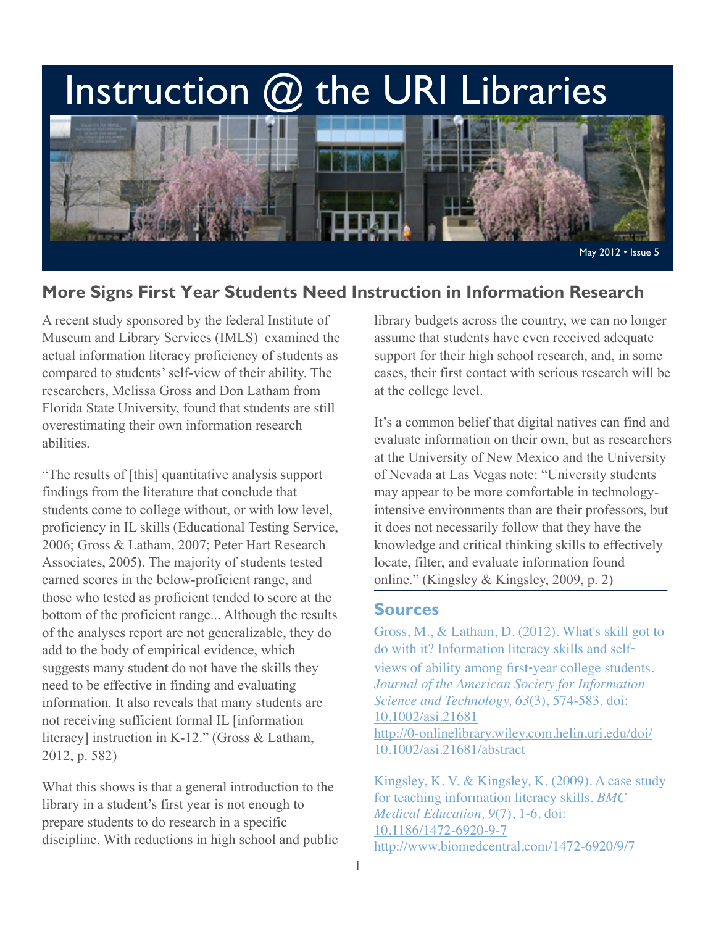# Instruction  $@$  the URI Libraries



## **More Signs First Year Students Need Instruction in Information Research**

A recent study sponsored by the federal Institute of Museum and Library Services (IMLS) examined the actual information literacy proficiency of students as compared to students' self-view of their ability. The researchers, Melissa Gross and Don Latham from Florida State University, found that students are still overestimating their own information research abilities.

"The results of [this] quantitative analysis support findings from the literature that conclude that students come to college without, or with low level, proficiency in IL skills (Educational Testing Service, 2006; Gross & Latham, 2007; Peter Hart Research Associates, 2005). The majority of students tested earned scores in the below-proficient range, and those who tested as proficient tended to score at the bottom of the proficient range... Although the results of the analyses report are not generalizable, they do add to the body of empirical evidence, which suggests many student do not have the skills they need to be effective in finding and evaluating information. It also reveals that many students are not receiving sufficient formal IL [information literacy] instruction in K-12." (Gross & Latham, 2012, p. 582)

What this shows is that a general introduction to the library in a student's first year is not enough to prepare students to do research in a specific discipline. With reductions in high school and public library budgets across the country, we can no longer assume that students have even received adequate support for their high school research, and, in some cases, their first contact with serious research will be at the college level.

It's a common belief that digital natives can find and evaluate information on their own, but as researchers at the University of New Mexico and the University of Nevada at Las Vegas note: "University students may appear to be more comfortable in technologyintensive environments than are their professors, but it does not necessarily follow that they have the knowledge and critical thinking skills to effectively locate, filter, and evaluate information found online." (Kingsley & Kingsley, 2009, p. 2)

#### **Sources**

Gross, M., & Latham, D. (2012). What's skill got to do with it? Information literacy skills and self‐ views of ability among first‐year college students. *Journal of the American Society for Information Science and Technology, 63*(3), 574-583. doi: [10.1002/asi.21681](http://0-dx.doi.org.helin.uri.edu/10.1002/asi.21681) [http://0-onlinelibrary.wiley.com.helin.uri.edu/doi/](http://0-onlinelibrary.wiley.com.helin.uri.edu/doi/10.1002/asi.21681/abstract) [10.1002/asi.21681/abstract](http://0-onlinelibrary.wiley.com.helin.uri.edu/doi/10.1002/asi.21681/abstract)

Kingsley, K. V. & Kingsley, K. (2009). A case study for teaching information literacy skills. *BMC Medical Education, 9*(7), 1-6. doi: [10.1186/1472-6920-9-7](http://0-dx.doi.org.helin.uri.edu/10.1186/1472-6920-9-7) <http://www.biomedcentral.com/1472-6920/9/7>